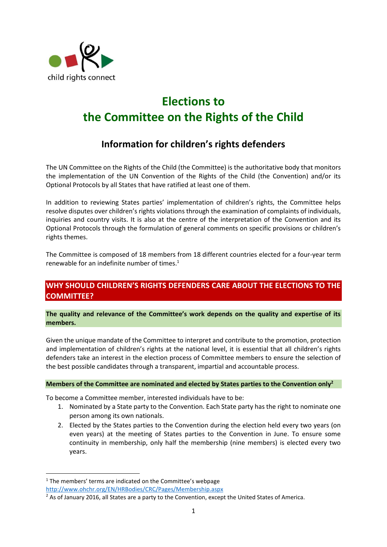

# **Elections to the Committee on the Rights of the Child**

## **Information for children's rights defenders**

The UN Committee on the Rights of the Child (the Committee) is the authoritative body that monitors the implementation of the UN Convention of the Rights of the Child (the Convention) and/or its Optional Protocols by all States that have ratified at least one of them.

In addition to reviewing States parties' implementation of children's rights, the Committee helps resolve disputes over children's rights violations through the examination of complaints of individuals, inquiries and country visits. It is also at the centre of the interpretation of the Convention and its Optional Protocols through the formulation of general comments on specific provisions or children's rights themes.

The Committee is composed of 18 members from 18 different countries elected for a four-year term renewable for an indefinite number of times. $1$ 

## **WHY SHOULD CHILDREN'S RIGHTS DEFENDERS CARE ABOUT THE ELECTIONS TO THE COMMITTEE?**

**The quality and relevance of the Committee's work depends on the quality and expertise of its members.** 

Given the unique mandate of the Committee to interpret and contribute to the promotion, protection and implementation of children's rights at the national level, it is essential that all children's rights defenders take an interest in the election process of Committee members to ensure the selection of the best possible candidates through a transparent, impartial and accountable process.

#### **Members of the Committee are nominated and elected by States parties to the Convention only<sup>2</sup>**

To become a Committee member, interested individuals have to be:

- 1. Nominated by a State party to the Convention. Each State party has the right to nominate one person among its own nationals.
- 2. Elected by the States parties to the Convention during the election held every two years (on even years) at the meeting of States parties to the Convention in June. To ensure some continuity in membership, only half the membership (nine members) is elected every two years.

**.** 

 $1$  The members' terms are indicated on the Committee's webpage

<http://www.ohchr.org/EN/HRBodies/CRC/Pages/Membership.aspx>

<sup>&</sup>lt;sup>2</sup> As of January 2016, all States are a party to the Convention, except the United States of America.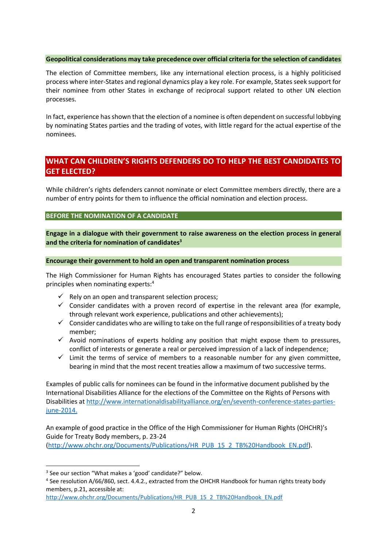#### **Geopolitical considerations may take precedence over official criteria for the selection of candidates**

The election of Committee members, like any international election process, is a highly politicised process where inter-States and regional dynamics play a key role. For example, States seek support for their nominee from other States in exchange of reciprocal support related to other UN election processes.

In fact, experience has shown that the election of a nominee is often dependent on successful lobbying by nominating States parties and the trading of votes, with little regard for the actual expertise of the nominees.

## **WHAT CAN CHILDREN'S RIGHTS DEFENDERS DO TO HELP THE BEST CANDIDATES TO GET ELECTED?**

While children's rights defenders cannot nominate or elect Committee members directly, there are a number of entry points for them to influence the official nomination and election process.

**BEFORE THE NOMINATION OF A CANDIDATE** 

**Engage in a dialogue with their government to raise awareness on the election process in general and the criteria for nomination of candidates<sup>3</sup>**

#### **Encourage their government to hold an open and transparent nomination process**

The High Commissioner for Human Rights has encouraged States parties to consider the following principles when nominating experts:<sup>4</sup>

- $\checkmark$  Rely on an open and transparent selection process;
- $\checkmark$  Consider candidates with a proven record of expertise in the relevant area (for example, through relevant work experience, publications and other achievements);
- $\checkmark$  Consider candidates who are willing to take on the full range of responsibilities of a treaty body member;
- $\checkmark$  Avoid nominations of experts holding any position that might expose them to pressures, conflict of interests or generate a real or perceived impression of a lack of independence;
- $\checkmark$  Limit the terms of service of members to a reasonable number for any given committee, bearing in mind that the most recent treaties allow a maximum of two successive terms.

Examples of public calls for nominees can be found in the informative document published by the International Disabilities Alliance for the elections of the Committee on the Rights of Persons with Disabilities at [http://www.internationaldisabilityalliance.org/en/seventh-conference-states-parties](http://www.internationaldisabilityalliance.org/en/seventh-conference-states-parties-june-2014)[june-2014.](http://www.internationaldisabilityalliance.org/en/seventh-conference-states-parties-june-2014)

An example of good practice in the Office of the High Commissioner for Human Rights (OHCHR)'s Guide for Treaty Body members, p. 23-24 [\(http://www.ohchr.org/Documents/Publications/HR\\_PUB\\_15\\_2\\_TB%20Handbook\\_EN.pdf\)](http://www.ohchr.org/Documents/Publications/HR_PUB_15_2_TB%20Handbook_EN.pdf).

1

<sup>&</sup>lt;sup>3</sup> See our section "What makes a 'good' candidate?" below.

<sup>&</sup>lt;sup>4</sup> See resolution A/66/860, sect. 4.4.2., extracted from the OHCHR Handbook for human rights treaty body members, p.21, accessible at:

[http://www.ohchr.org/Documents/Publications/HR\\_PUB\\_15\\_2\\_TB%20Handbook\\_EN.pdf](http://www.ohchr.org/Documents/Publications/HR_PUB_15_2_TB%20Handbook_EN.pdf)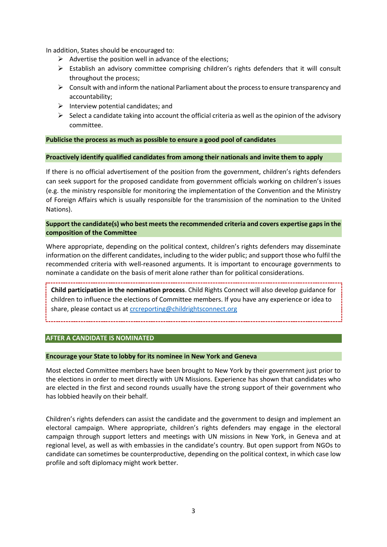In addition, States should be encouraged to:

- $\triangleright$  Advertise the position well in advance of the elections;
- $\triangleright$  Establish an advisory committee comprising children's rights defenders that it will consult throughout the process;
- $\triangleright$  Consult with and inform the national Parliament about the process to ensure transparency and accountability;
- $\triangleright$  Interview potential candidates; and
- $\triangleright$  Select a candidate taking into account the official criteria as well as the opinion of the advisory committee.

#### **Publicise the process as much as possible to ensure a good pool of candidates**

#### **Proactively identify qualified candidates from among their nationals and invite them to apply**

If there is no official advertisement of the position from the government, children's rights defenders can seek support for the proposed candidate from government officials working on children's issues (e.g. the ministry responsible for monitoring the implementation of the Convention and the Ministry of Foreign Affairs which is usually responsible for the transmission of the nomination to the United Nations).

#### **Support the candidate(s) who best meets the recommended criteria and covers expertise gaps in the composition of the Committee**

Where appropriate, depending on the political context, children's rights defenders may disseminate information on the different candidates, including to the wider public; and support those who fulfil the recommended criteria with well-reasoned arguments. It is important to encourage governments to nominate a candidate on the basis of merit alone rather than for political considerations.

**Child participation in the nomination process**. Child Rights Connect will also develop guidance for children to influence the elections of Committee members. If you have any experience or idea to share, please contact us at [crcreporting@childrightsconnect.org](mailto:crcreporting@childrightsconnect.org)

#### **AFTER A CANDIDATE IS NOMINATED**

#### **Encourage your State to lobby for its nominee in New York and Geneva**

Most elected Committee members have been brought to New York by their government just prior to the elections in order to meet directly with UN Missions. Experience has shown that candidates who are elected in the first and second rounds usually have the strong support of their government who has lobbied heavily on their behalf.

Children's rights defenders can assist the candidate and the government to design and implement an electoral campaign. Where appropriate, children's rights defenders may engage in the electoral campaign through support letters and meetings with UN missions in New York, in Geneva and at regional level, as well as with embassies in the candidate's country. But open support from NGOs to candidate can sometimes be counterproductive, depending on the political context, in which case low profile and soft diplomacy might work better.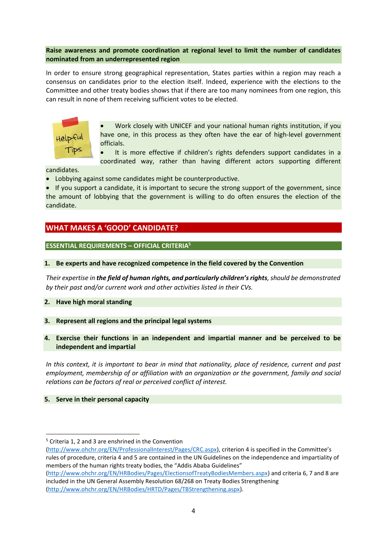#### **Raise awareness and promote coordination at regional level to limit the number of candidates nominated from an underrepresented region**

In order to ensure strong geographical representation, States parties within a region may reach a consensus on candidates prior to the election itself. Indeed, experience with the elections to the Committee and other treaty bodies shows that if there are too many nominees from one region, this can result in none of them receiving sufficient votes to be elected.



 Work closely with UNICEF and your national human rights institution, if you have one, in this process as they often have the ear of high-level government officials.

 It is more effective if children's rights defenders support candidates in a coordinated way, rather than having different actors supporting different

candidates.

Lobbying against some candidates might be counterproductive.

• If you support a candidate, it is important to secure the strong support of the government, since the amount of lobbying that the government is willing to do often ensures the election of the candidate.

## **WHAT MAKES A 'GOOD' CANDIDATE?**

#### **ESSENTIAL REQUIREMENTS – OFFICIAL CRITERIA<sup>5</sup>**

#### **1. Be experts and have recognized competence in the field covered by the Convention**

*Their expertise in the field of human rights, and particularly children's rights, should be demonstrated by their past and/or current work and other activities listed in their CVs.*

#### **2. Have high moral standing**

#### **3. Represent all regions and the principal legal systems**

**4. Exercise their functions in an independent and impartial manner and be perceived to be independent and impartial**

*In this context, it is important to bear in mind that nationality, place of residence, current and past employment, membership of or affiliation with an organization or the government, family and social relations can be factors of real or perceived conflict of interest.*

#### **5. Serve in their personal capacity**

**.** 

<sup>5</sup> Criteria 1, 2 and 3 are enshrined in the Convention

[<sup>\(</sup>http://www.ohchr.org/EN/ProfessionalInterest/Pages/CRC.aspx\)](http://www.ohchr.org/EN/ProfessionalInterest/Pages/CRC.aspx), criterion 4 is specified in the Committee's rules of procedure, criteria 4 and 5 are contained in the UN Guidelines on the independence and impartiality of members of the human rights treaty bodies, the "Addis Ababa Guidelines" [\(http://www.ohchr.org/EN/HRBodies/Pages/ElectionsofTreatyBodiesMembers.aspx\)](http://www.ohchr.org/EN/HRBodies/Pages/ElectionsofTreatyBodiesMembers.aspx) and criteria 6, 7 and 8 are

included in the UN General Assembly Resolution 68/268 on Treaty Bodies Strengthening [\(http://www.ohchr.org/EN/HRBodies/HRTD/Pages/TBStrengthening.aspx\)](http://www.ohchr.org/EN/HRBodies/HRTD/Pages/TBStrengthening.aspx).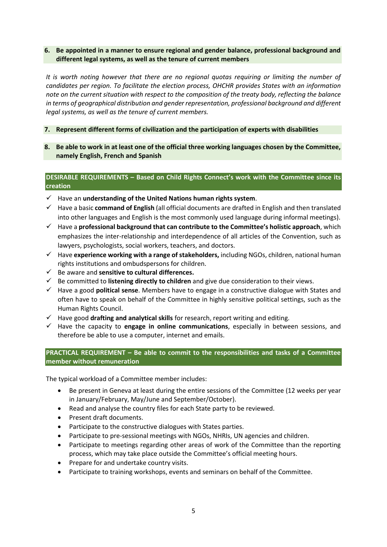#### **6. Be appointed in a manner to ensure regional and gender balance, professional background and different legal systems, as well as the tenure of current members**

*It is worth noting however that there are no regional quotas requiring or limiting the number of candidates per region. To facilitate the election process, OHCHR provides States with an information note on the current situation with respect to the composition of the treaty body, reflecting the balance in terms of geographical distribution and gender representation, professional background and different legal systems, as well as the tenure of current members.*

#### **7. Represent different forms of civilization and the participation of experts with disabilities**

**8. Be able to work in at least one of the official three working languages chosen by the Committee, namely English, French and Spanish**

#### **DESIRABLE REQUIREMENTS – Based on Child Rights Connect's work with the Committee since its creation**

- Have an **understanding of the United Nations human rights system**.
- Have a basic **command of English** (all official documents are drafted in English and then translated into other languages and English is the most commonly used language during informal meetings).
- Have a **professional background that can contribute to the Committee's holistic approach**, which emphasizes the inter-relationship and interdependence of all articles of the Convention, such as lawyers, psychologists, social workers, teachers, and doctors.
- Have **experience working with a range of stakeholders,** including NGOs, children, national human rights institutions and ombudspersons for children.
- Be aware and **sensitive to cultural differences.**
- $\checkmark$  Be committed to **listening directly to children** and give due consideration to their views.
- Have a good **political sense**. Members have to engage in a constructive dialogue with States and often have to speak on behalf of the Committee in highly sensitive political settings, such as the Human Rights Council.
- $\checkmark$  Have good **drafting and analytical skills** for research, report writing and editing.
- $\checkmark$  Have the capacity to **engage in online communications**, especially in between sessions, and therefore be able to use a computer, internet and emails.

#### **PRACTICAL REQUIREMENT – Be able to commit to the responsibilities and tasks of a Committee member without remuneration**

The typical workload of a Committee member includes:

- Be present in Geneva at least during the entire sessions of the Committee (12 weeks per year in January/February, May/June and September/October).
- Read and analyse the country files for each State party to be reviewed.
- Present draft documents.
- Participate to the constructive dialogues with States parties.
- Participate to pre-sessional meetings with NGOs, NHRIs, UN agencies and children.
- Participate to meetings regarding other areas of work of the Committee than the reporting process, which may take place outside the Committee's official meeting hours.
- Prepare for and undertake country visits.
- Participate to training workshops, events and seminars on behalf of the Committee.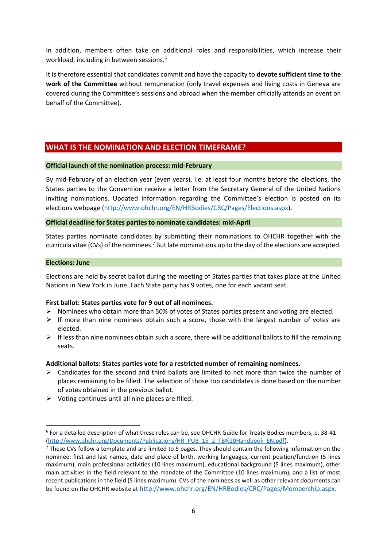In addition, members often take on additional roles and responsibilities, which increase their workload, including in between sessions.<sup>6</sup>

It is therefore essential that candidates commit and have the capacity to **devote sufficient time to the work of the Committee** without remuneration (only travel expenses and living costs in Geneva are covered during the Committee's sessions and abroad when the member officially attends an event on behalf of the Committee).

## **WHAT IS THE NOMINATION AND ELECTION TIMEFRAME?**

#### **Official launch of the nomination process: mid-February**

By mid-February of an election year (even years), i.e. at least four months before the elections, the States parties to the Convention receive a letter from the Secretary General of the United Nations inviting nominations. Updated information regarding the Committee's election is posted on its elections webpage [\(http://www.ohchr.org/EN/HRBodies/CRC/Pages/Elections.aspx\)](http://www.ohchr.org/EN/HRBodies/CRC/Pages/Elections.aspx).

#### **Official deadline for States parties to nominate candidates: mid-April**

States parties nominate candidates by submitting their nominations to OHCHR together with the curricula vitae (CVs) of the nominees.<sup>7</sup> But late nominations up to the day of the elections are accepted.

#### **Elections: June**

1

Elections are held by secret ballot during the meeting of States parties that takes place at the United Nations in New York in June. Each State party has 9 votes, one for each vacant seat.

#### **First ballot: States parties vote for 9 out of all nominees.**

- $\triangleright$  Nominees who obtain more than 50% of votes of States parties present and voting are elected.
- $\triangleright$  If more than nine nominees obtain such a score, those with the largest number of votes are elected.
- $\triangleright$  If less than nine nominees obtain such a score, there will be additional ballots to fill the remaining seats.

#### **Additional ballots: States parties vote for a restricted number of remaining nominees.**

- $\triangleright$  Candidates for the second and third ballots are limited to not more than twice the number of places remaining to be filled. The selection of those top candidates is done based on the number of votes obtained in the previous ballot.
- $\triangleright$  Voting continues until all nine places are filled.

<sup>6</sup> For a detailed description of what these roles can be, see OHCHR Guide for Treaty Bodies members, p. 38-41 [\(http://www.ohchr.org/Documents/Publications/HR\\_PUB\\_15\\_2\\_TB%20Handbook\\_EN.pdf\)](http://www.ohchr.org/Documents/Publications/HR_PUB_15_2_TB%20Handbook_EN.pdf).

 $<sup>7</sup>$  These CVs follow a template and are limited to 5 pages. They should contain the following information on the</sup> nominee: first and last names, date and place of birth, working languages, current position/function (5 lines maximum), main professional activities (10 lines maximum), educational background (5 lines maximum), other main activities in the field relevant to the mandate of the Committee (10 lines maximum), and a list of most recent publications in the field (5 lines maximum). CVs of the nominees as well as other relevant documents can be found on the OHCHR website at <http://www.ohchr.org/EN/HRBodies/CRC/Pages/Membership.aspx>.